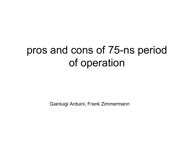# pros and cons of 75-ns period of operation

Gianluigi Arduini, Frank Zimmermann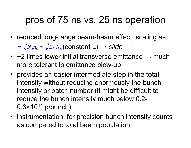## pros of 75 ns vs. 25 ns operation

- reduced long-range beam-beam effect, scaling as (constant L)  $\alpha \sqrt{N_b n_b} \propto \sqrt{L/N_b}$  (constant L)  $\rightarrow$  slide
- $~\sim$ 2 times lower initial transverse emittance  $\rightarrow$  much more tolerant to emittance blow-up
- provides an easier intermediate step in the total intensity without reducing enormously the bunch intensity or batch number (it might be difficult to reduce the bunch intensity much below 0.2-  $0.3 \times 10^{11}$  p/bunch).
- instrumentation: for precision bunch intensity counts as compared to total beam population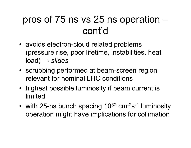## pros of 75 ns vs 25 ns operation – cont'd

- avoids electron-cloud related problems (pressure rise, poor lifetime, instabilities, heat load) → *slides*
- scrubbing performed at beam-screen region relevant for nominal LHC conditions
- highest possible luminosity if beam current is limited
- •with 25-ns bunch spacing 10<sup>32</sup> cm<sup>-2</sup>s<sup>-1</sup> luminosity operation might have implications for collimation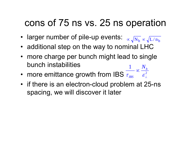### cons of 75 ns vs. 25 ns operation

- larger number of pile-up events:  $\frac{1}{\alpha\sqrt{N_b}}\frac{1}{\alpha\sqrt{L/n_b}}$
- additional step on the way to nominal LHC
- more charge per bunch might lead to single bunch instabilities1 *b N*
- more emittance growth from IBS  $\tau_{\textrm{\tiny{IBS}}}$  ,  $\varepsilon_{\perp}^2$ ⊥  $\frac{1}{\tau}\frac{\infty}{\epsilon}$ *IBS*
- if there is an electron-cloud problem at 25-ns spacing, we will discover it later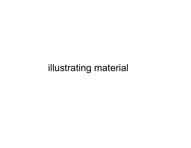### illustrating material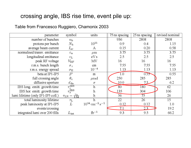### crossing angle, IBS rise time, event pile up:

#### Table from Francesco Ruggiero, Chamonix 2003

| parameter                          | symbol                                            | units                                      | 75 ns spacing | 25 ns spacing | revised nominal |
|------------------------------------|---------------------------------------------------|--------------------------------------------|---------------|---------------|-----------------|
| number of bunches                  | $n_{\rm b}$                                       |                                            | 936           | 2808          | 2808            |
| protons per bunch                  | $N_{\rm b}$                                       | $10^{11}$                                  | 0.9           | 0.4           | 1.15            |
| average beam current               | $I_{\rm av}$                                      | A                                          | 0.15          | 0.20          | 0.58            |
| normalised transv. emittance       | $\varepsilon_n$                                   | $\mu$ m                                    | 3.75          | 3.75          | 3.75            |
| longitudinal emittance             | $\varepsilon_{\rm L}$                             | eVs                                        | 2.5           | 2.5           | 2.5             |
| peak RF voltage                    | $V_{\rm RF}$                                      | MV                                         | 16            | 16            | 16              |
| r.m.s. bunch length                | $\sigma_z$                                        | cm <sub>1</sub>                            | 7.55          | 7.55          | 7.55            |
| r.m.s. energy spread               | $\sigma_{\rm E}$                                  | $10^{-4}$                                  | 1.13          | 1.13          | 1.13            |
| beta at IP1-IP5                    | $\beta^*$                                         | m                                          | 1.0           | 0.55          | 0.55            |
| full crossing angle                | $\theta_{\rm c}$                                  | $\mu$ rad                                  | 250           | 285           | 285             |
| diffusive aperture                 | $d_{\rm da}$                                      | $\sigma$                                   | 10.0          | 7.5           | 6.2             |
| IBS long. emitt. growth time       | $\frac{\tau_z^{\text{IBS}}}{\tau_x^{\text{IBS}}}$ | $\mathbf{h}$                               | 80            | 180           | 62              |
| IBS hor. emitt. growth time        |                                                   | $\mathbf{h}$                               | 135           | 304           | 106             |
| lumi lifetime (only IP1-IP5 coll.) | $\tau_{\rm LN} = \frac{\tau_{\rm N}}{1.54}$       | $\mathbf{h}$                               | 56            | 75            | 26              |
| total luminosity lifetime          | $\tau_{\rm L}$                                    | $\mathbf h$                                | 22            | 26            | 15              |
| peak luminosity at IP1-IP5         | L                                                 | $10^{34}$ cm <sup>-2</sup> s <sup>-1</sup> | 0.12          | 0.12          | 1.0             |
| events/crossing                    |                                                   |                                            | 7.1           | 2.3           | 19.2            |
| integrated lumi over 200 fills     | $L_{\rm int}$                                     | $fb^{-1}$                                  | 9.3           | 9.5           | 66.2            |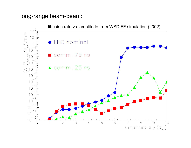#### long-range beam-beam:

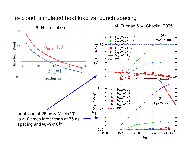#### e- cloud: simulated heat load vs. bunch spacing